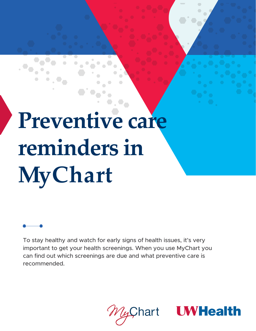# **Preventive care reminders in MyChart**

To stay healthy and watch for early signs of health issues, it's very important to get your health screenings. When you use MyChart you can find out which screenings are due and what preventive care is recommended.

hart

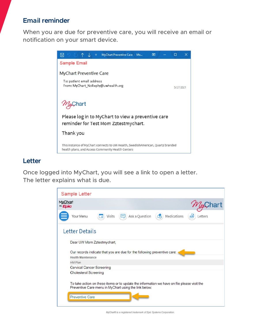## **Email reminder**

When you are due for preventive care, you will receive an email or notification on your smart device.



### **Letter**

Once logged into MyChart, you will see a link to open a letter. The letter explains what is due.



*MyChart® is a registered trademark of Epic Systems Corporation.*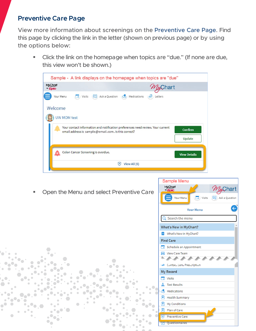# **Preventive Care Page**

View more information about screenings on the Preventive Care Page. Find this page by clicking the link in the letter (shown on previous page) or by using the options below:

**EXEL Click the link on the homepage when topics are "due." (If none are due,** this view won't be shown.)